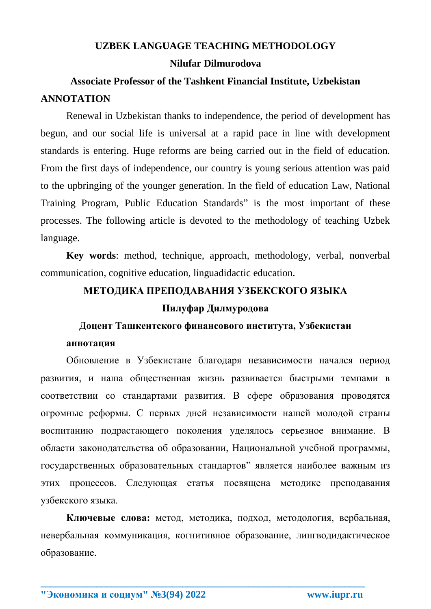# **UZBEK LANGUAGE TEACHING METHODOLOGY Nilufar Dilmurodova**

# **Associate Professor of the Tashkent Financial Institute, Uzbekistan ANNOTATION**

Renewal in Uzbekistan thanks to independence, the period of development has begun, and our social life is universal at a rapid pace in line with development standards is entering. Huge reforms are being carried out in the field of education. From the first days of independence, our country is young serious attention was paid to the upbringing of the younger generation. In the field of education Law, National Training Program, Public Education Standards" is the most important of these processes. The following article is devoted to the methodology of teaching Uzbek language.

**Key words**: method, technique, approach, methodology, verbal, nonverbal communication, cognitive education, linguadidactic education.

### **МЕТОДИКА ПРЕПОДАВАНИЯ УЗБЕКСКОГО ЯЗЫКА**

### **Нилуфар Дилмуродова**

## **Доцент Ташкентского финансового института, Узбекистан**

#### **аннотация**

Обновление в Узбекистане благодаря независимости начался период развития, и наша общественная жизнь развивается быстрыми темпами в соответствии со стандартами развития. В сфере образования проводятся огромные реформы. С первых дней независимости нашей молодой страны воспитанию подрастающего поколения уделялось серьезное внимание. В области законодательства об образовании, Национальной учебной программы, государственных образовательных стандартов" является наиболее важным из этих процессов. Следующая статья посвящена методике преподавания узбекского языка.

**Ключевые слова:** метод, методика, подход, методология, вербальная, невербальная коммуникация, когнитивное образование, лингводидактическое образование.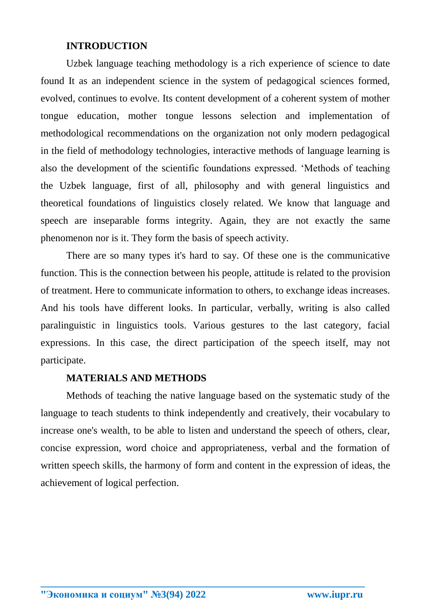## **INTRODUCTION**

Uzbek language teaching methodology is a rich experience of science to date found It as an independent science in the system of pedagogical sciences formed, evolved, continues to evolve. Its content development of a coherent system of mother tongue education, mother tongue lessons selection and implementation of methodological recommendations on the organization not only modern pedagogical in the field of methodology technologies, interactive methods of language learning is also the development of the scientific foundations expressed. 'Methods of teaching the Uzbek language, first of all, philosophy and with general linguistics and theoretical foundations of linguistics closely related. We know that language and speech are inseparable forms integrity. Again, they are not exactly the same phenomenon nor is it. They form the basis of speech activity.

There are so many types it's hard to say. Of these one is the communicative function. This is the connection between his people, attitude is related to the provision of treatment. Here to communicate information to others, to exchange ideas increases. And his tools have different looks. In particular, verbally, writing is also called paralinguistic in linguistics tools. Various gestures to the last category, facial expressions. In this case, the direct participation of the speech itself, may not participate.

### **MATERIALS AND METHODS**

Methods of teaching the native language based on the systematic study of the language to teach students to think independently and creatively, their vocabulary to increase one's wealth, to be able to listen and understand the speech of others, clear, concise expression, word choice and appropriateness, verbal and the formation of written speech skills, the harmony of form and content in the expression of ideas, the achievement of logical perfection.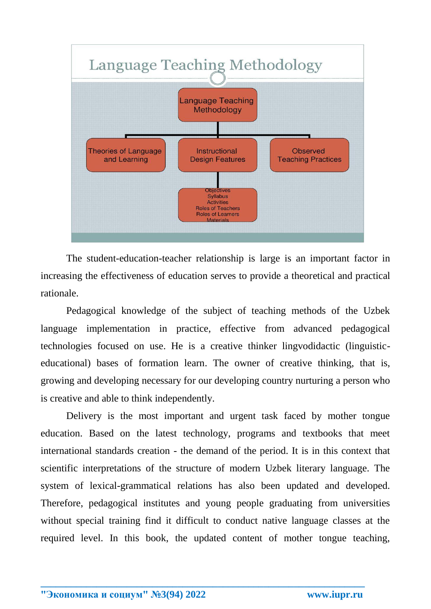

The student-education-teacher relationship is large is an important factor in increasing the effectiveness of education serves to provide a theoretical and practical rationale.

Pedagogical knowledge of the subject of teaching methods of the Uzbek language implementation in practice, effective from advanced pedagogical technologies focused on use. He is a creative thinker lingvodidactic (linguisticeducational) bases of formation learn. The owner of creative thinking, that is, growing and developing necessary for our developing country nurturing a person who is creative and able to think independently.

Delivery is the most important and urgent task faced by mother tongue education. Based on the latest technology, programs and textbooks that meet international standards creation - the demand of the period. It is in this context that scientific interpretations of the structure of modern Uzbek literary language. The system of lexical-grammatical relations has also been updated and developed. Therefore, pedagogical institutes and young people graduating from universities without special training find it difficult to conduct native language classes at the required level. In this book, the updated content of mother tongue teaching,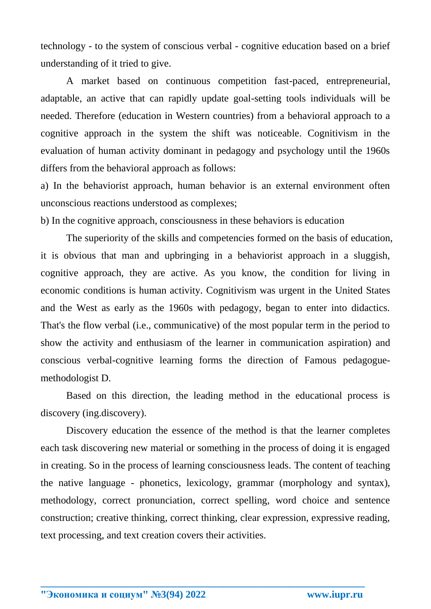technology - to the system of conscious verbal - cognitive education based on a brief understanding of it tried to give.

A market based on continuous competition fast-paced, entrepreneurial, adaptable, an active that can rapidly update goal-setting tools individuals will be needed. Therefore (education in Western countries) from a behavioral approach to a cognitive approach in the system the shift was noticeable. Cognitivism in the evaluation of human activity dominant in pedagogy and psychology until the 1960s differs from the behavioral approach as follows:

a) In the behaviorist approach, human behavior is an external environment often unconscious reactions understood as complexes;

b) In the cognitive approach, consciousness in these behaviors is education

The superiority of the skills and competencies formed on the basis of education, it is obvious that man and upbringing in a behaviorist approach in a sluggish, cognitive approach, they are active. As you know, the condition for living in economic conditions is human activity. Cognitivism was urgent in the United States and the West as early as the 1960s with pedagogy, began to enter into didactics. That's the flow verbal (i.e., communicative) of the most popular term in the period to show the activity and enthusiasm of the learner in communication aspiration) and conscious verbal-cognitive learning forms the direction of Famous pedagoguemethodologist D.

Based on this direction, the leading method in the educational process is discovery (ing.discovery).

Discovery education the essence of the method is that the learner completes each task discovering new material or something in the process of doing it is engaged in creating. So in the process of learning consciousness leads. The content of teaching the native language - phonetics, lexicology, grammar (morphology and syntax), methodology, correct pronunciation, correct spelling, word choice and sentence construction; creative thinking, correct thinking, clear expression, expressive reading, text processing, and text creation covers their activities.